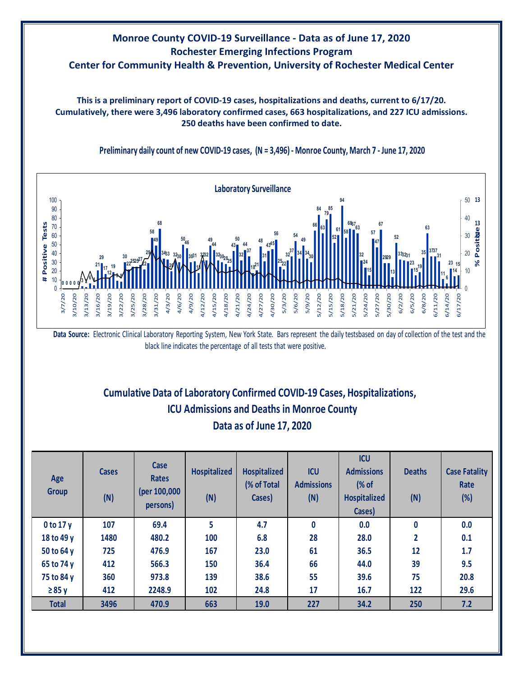# **Monroe County COVID-19 Surveillance - Data as of June 17, 2020 Rochester Emerging Infections Program Center for Community Health & Prevention, University of Rochester Medical Center**

**This is a preliminary report of COVID-19 cases, hospitalizations and deaths, current to 6/17/20. Cumulatively, there were 3,496 laboratory confirmed cases, 663 hospitalizations, and 227 ICU admissions. 250 deaths have been confirmed to date.**



**Preliminary daily count of new COVID-19 cases, (N = 3,496) - Monroe County, March 7 - June 17, 2020**

Data Source: Electronic Clinical Laboratory Reporting System, New York State. Bars represent the daily testsbased on day of collection of the test and the black line indicates the percentage of all tests that were positive.

# **Cumulative Data of Laboratory Confirmed COVID-19 Cases, Hospitalizations, Data as of June 17, 2020 ICU Admissions and Deaths in Monroe County**

| Age<br><b>Group</b> | <b>Cases</b><br>(N) | Case<br><b>Rates</b><br>(per 100,000<br>persons) | <b>Hospitalized</b><br>(N) | <b>Hospitalized</b><br>(% of Total<br>Cases) | <b>ICU</b><br><b>Admissions</b><br>(N) | <b>ICU</b><br><b>Admissions</b><br>(% of<br><b>Hospitalized</b><br>Cases) | <b>Deaths</b><br>(N) | <b>Case Fatality</b><br>Rate<br>$(\%)$ |
|---------------------|---------------------|--------------------------------------------------|----------------------------|----------------------------------------------|----------------------------------------|---------------------------------------------------------------------------|----------------------|----------------------------------------|
| 0 to 17 y           | 107                 | 69.4                                             | 5                          | 4.7                                          | 0                                      | 0.0                                                                       | 0                    | 0.0                                    |
| 18 to 49 y          | 1480                | 480.2                                            | 100                        | 6.8                                          | 28                                     | 28.0                                                                      | 2                    | 0.1                                    |
| 50 to 64 y          | 725                 | 476.9                                            | 167                        | 23.0                                         | 61                                     | 36.5                                                                      | 12                   | 1.7                                    |
| 65 to 74 y          | 412                 | 566.3                                            | 150                        | 36.4                                         | 66                                     | 44.0                                                                      | 39                   | 9.5                                    |
| 75 to 84 y          | 360                 | 973.8                                            | 139                        | 38.6                                         | 55                                     | 39.6                                                                      | 75                   | 20.8                                   |
| $\geq 85$ y         | 412                 | 2248.9                                           | 102                        | 24.8                                         | 17                                     | 16.7                                                                      | 122                  | 29.6                                   |
| <b>Total</b>        | 3496                | 470.9                                            | 663                        | 19.0                                         | 227                                    | 34.2                                                                      | 250                  | 7.2                                    |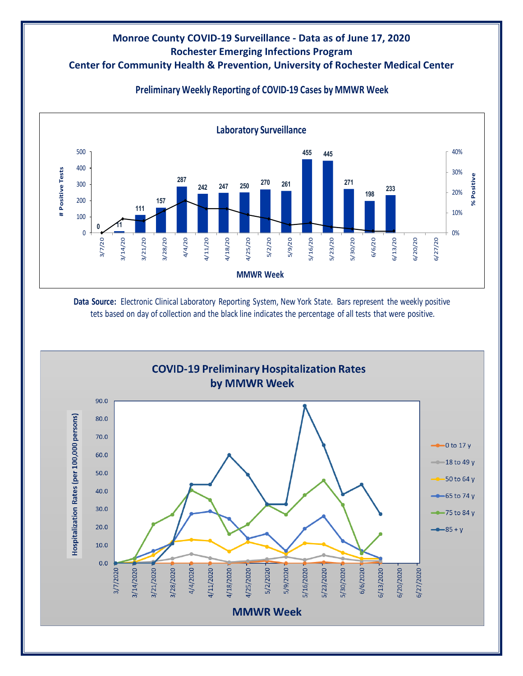#### **Monroe County COVID-19 Surveillance - Data as of June 17, 2020 Rochester Emerging Infections Program Center for Community Health & Prevention, University of Rochester Medical Center**



## **Preliminary Weekly Reporting of COVID-19 Cases by MMWR Week**

**Data Source:** Electronic Clinical Laboratory Reporting System, New York State. Bars represent the weekly positive tets based on day of collection and the black line indicates the percentage of all tests that were positive.